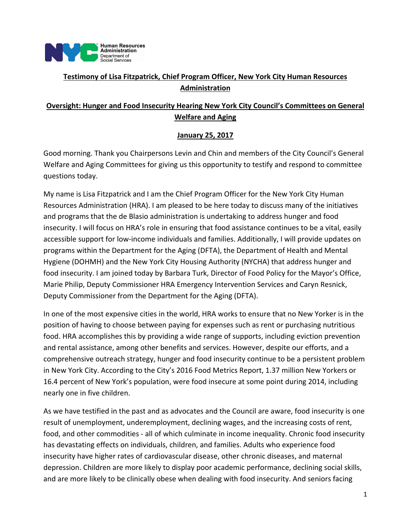

# **Testimony of Lisa Fitzpatrick, Chief Program Officer, New York City Human Resources Administration**

# **Oversight: Hunger and Food Insecurity Hearing New York City Council's Committees on General Welfare and Aging**

### **January 25, 2017**

Good morning. Thank you Chairpersons Levin and Chin and members of the City Council's General Welfare and Aging Committees for giving us this opportunity to testify and respond to committee questions today.

My name is Lisa Fitzpatrick and I am the Chief Program Officer for the New York City Human Resources Administration (HRA). I am pleased to be here today to discuss many of the initiatives and programs that the de Blasio administration is undertaking to address hunger and food insecurity. I will focus on HRA's role in ensuring that food assistance continues to be a vital, easily accessible support for low‐income individuals and families. Additionally, I will provide updates on programs within the Department for the Aging (DFTA), the Department of Health and Mental Hygiene (DOHMH) and the New York City Housing Authority (NYCHA) that address hunger and food insecurity. I am joined today by Barbara Turk, Director of Food Policy for the Mayor's Office, Marie Philip, Deputy Commissioner HRA Emergency Intervention Services and Caryn Resnick, Deputy Commissioner from the Department for the Aging (DFTA).

In one of the most expensive cities in the world, HRA works to ensure that no New Yorker is in the position of having to choose between paying for expenses such as rent or purchasing nutritious food. HRA accomplishes this by providing a wide range of supports, including eviction prevention and rental assistance, among other benefits and services. However, despite our efforts, and a comprehensive outreach strategy, hunger and food insecurity continue to be a persistent problem in New York City. According to the City's 2016 Food Metrics Report, 1.37 million New Yorkers or 16.4 percent of New York's population, were food insecure at some point during 2014, including nearly one in five children.

As we have testified in the past and as advocates and the Council are aware, food insecurity is one result of unemployment, underemployment, declining wages, and the increasing costs of rent, food, and other commodities ‐ all of which culminate in income inequality. Chronic food insecurity has devastating effects on individuals, children, and families. Adults who experience food insecurity have higher rates of cardiovascular disease, other chronic diseases, and maternal depression. Children are more likely to display poor academic performance, declining social skills, and are more likely to be clinically obese when dealing with food insecurity. And seniors facing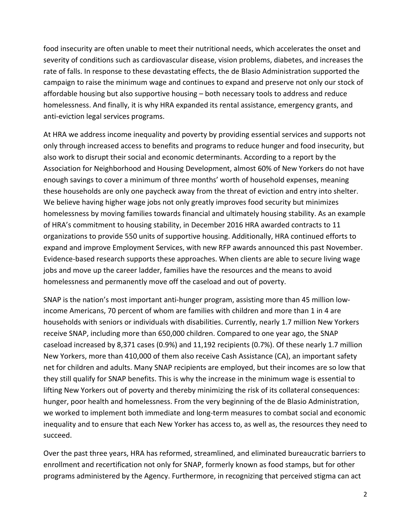food insecurity are often unable to meet their nutritional needs, which accelerates the onset and severity of conditions such as cardiovascular disease, vision problems, diabetes, and increases the rate of falls. In response to these devastating effects, the de Blasio Administration supported the campaign to raise the minimum wage and continues to expand and preserve not only our stock of affordable housing but also supportive housing – both necessary tools to address and reduce homelessness. And finally, it is why HRA expanded its rental assistance, emergency grants, and anti‐eviction legal services programs.

At HRA we address income inequality and poverty by providing essential services and supports not only through increased access to benefits and programs to reduce hunger and food insecurity, but also work to disrupt their social and economic determinants. According to a report by the Association for Neighborhood and Housing Development, almost 60% of New Yorkers do not have enough savings to cover a minimum of three months' worth of household expenses, meaning these households are only one paycheck away from the threat of eviction and entry into shelter. We believe having higher wage jobs not only greatly improves food security but minimizes homelessness by moving families towards financial and ultimately housing stability. As an example of HRA's commitment to housing stability, in December 2016 HRA awarded contracts to 11 organizations to provide 550 units of supportive housing. Additionally, HRA continued efforts to expand and improve Employment Services, with new RFP awards announced this past November. Evidence‐based research supports these approaches. When clients are able to secure living wage jobs and move up the career ladder, families have the resources and the means to avoid homelessness and permanently move off the caseload and out of poverty.

SNAP is the nation's most important anti‐hunger program, assisting more than 45 million low‐ income Americans, 70 percent of whom are families with children and more than 1 in 4 are households with seniors or individuals with disabilities. Currently, nearly 1.7 million New Yorkers receive SNAP, including more than 650,000 children. Compared to one year ago, the SNAP caseload increased by 8,371 cases (0.9%) and 11,192 recipients (0.7%). Of these nearly 1.7 million New Yorkers, more than 410,000 of them also receive Cash Assistance (CA), an important safety net for children and adults. Many SNAP recipients are employed, but their incomes are so low that they still qualify for SNAP benefits. This is why the increase in the minimum wage is essential to lifting New Yorkers out of poverty and thereby minimizing the risk of its collateral consequences: hunger, poor health and homelessness. From the very beginning of the de Blasio Administration, we worked to implement both immediate and long-term measures to combat social and economic inequality and to ensure that each New Yorker has access to, as well as, the resources they need to succeed.

Over the past three years, HRA has reformed, streamlined, and eliminated bureaucratic barriers to enrollment and recertification not only for SNAP, formerly known as food stamps, but for other programs administered by the Agency. Furthermore, in recognizing that perceived stigma can act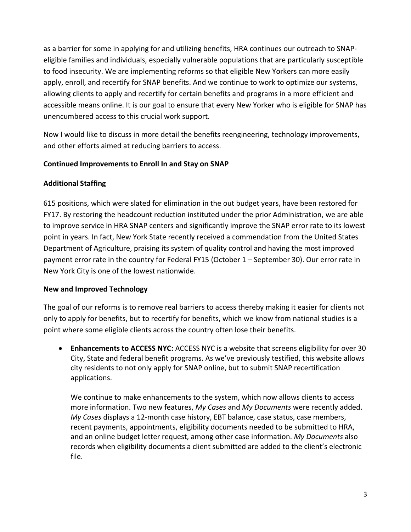as a barrier for some in applying for and utilizing benefits, HRA continues our outreach to SNAP‐ eligible families and individuals, especially vulnerable populations that are particularly susceptible to food insecurity. We are implementing reforms so that eligible New Yorkers can more easily apply, enroll, and recertify for SNAP benefits. And we continue to work to optimize our systems, allowing clients to apply and recertify for certain benefits and programs in a more efficient and accessible means online. It is our goal to ensure that every New Yorker who is eligible for SNAP has unencumbered access to this crucial work support.

Now I would like to discuss in more detail the benefits reengineering, technology improvements, and other efforts aimed at reducing barriers to access.

### **Continued Improvements to Enroll In and Stay on SNAP**

# **Additional Staffing**

615 positions, which were slated for elimination in the out budget years, have been restored for FY17. By restoring the headcount reduction instituted under the prior Administration, we are able to improve service in HRA SNAP centers and significantly improve the SNAP error rate to its lowest point in years. In fact, New York State recently received a commendation from the United States Department of Agriculture, praising its system of quality control and having the most improved payment error rate in the country for Federal FY15 (October 1 – September 30). Our error rate in New York City is one of the lowest nationwide.

### **New and Improved Technology**

The goal of our reforms is to remove real barriers to access thereby making it easier for clients not only to apply for benefits, but to recertify for benefits, which we know from national studies is a point where some eligible clients across the country often lose their benefits.

 **Enhancements to ACCESS NYC:** ACCESS NYC is a website that screens eligibility for over 30 City, State and federal benefit programs. As we've previously testified, this website allows city residents to not only apply for SNAP online, but to submit SNAP recertification applications.

We continue to make enhancements to the system, which now allows clients to access more information. Two new features, *My Cases* and *My Documents* were recently added. *My Cases* displays a 12‐month case history, EBT balance, case status, case members, recent payments, appointments, eligibility documents needed to be submitted to HRA, and an online budget letter request, among other case information. *My Documents* also records when eligibility documents a client submitted are added to the client's electronic file.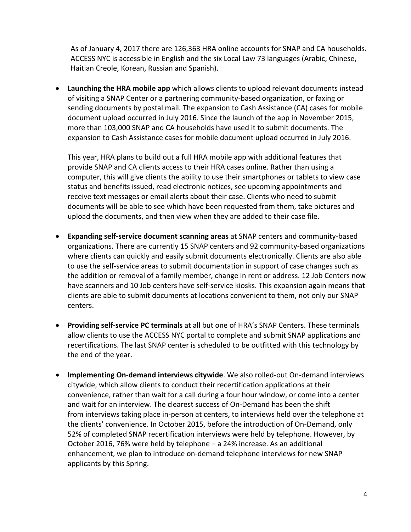As of January 4, 2017 there are 126,363 HRA online accounts for SNAP and CA households. ACCESS NYC is accessible in English and the six Local Law 73 languages (Arabic, Chinese, Haitian Creole, Korean, Russian and Spanish).

 **Launching the HRA mobile app** which allows clients to upload relevant documents instead of visiting a SNAP Center or a partnering community‐based organization, or faxing or sending documents by postal mail. The expansion to Cash Assistance (CA) cases for mobile document upload occurred in July 2016. Since the launch of the app in November 2015, more than 103,000 SNAP and CA households have used it to submit documents. The expansion to Cash Assistance cases for mobile document upload occurred in July 2016.

This year, HRA plans to build out a full HRA mobile app with additional features that provide SNAP and CA clients access to their HRA cases online. Rather than using a computer, this will give clients the ability to use their smartphones or tablets to view case status and benefits issued, read electronic notices, see upcoming appointments and receive text messages or email alerts about their case. Clients who need to submit documents will be able to see which have been requested from them, take pictures and upload the documents, and then view when they are added to their case file.

- **Expanding self‐service document scanning areas** at SNAP centers and community‐based organizations. There are currently 15 SNAP centers and 92 community‐based organizations where clients can quickly and easily submit documents electronically. Clients are also able to use the self‐service areas to submit documentation in support of case changes such as the addition or removal of a family member, change in rent or address. 12 Job Centers now have scanners and 10 Job centers have self-service kiosks. This expansion again means that clients are able to submit documents at locations convenient to them, not only our SNAP centers.
- **Providing self‐service PC terminals** at all but one of HRA's SNAP Centers. These terminals allow clients to use the ACCESS NYC portal to complete and submit SNAP applications and recertifications. The last SNAP center is scheduled to be outfitted with this technology by the end of the year.
- **●** Implementing On-demand interviews citywide. We also rolled-out On-demand interviews citywide, which allow clients to conduct their recertification applications at their convenience, rather than wait for a call during a four hour window, or come into a center and wait for an interview. The clearest success of On‐Demand has been the shift from interviews taking place in‐person at centers, to interviews held over the telephone at the clients' convenience. In October 2015, before the introduction of On‐Demand, only 52% of completed SNAP recertification interviews were held by telephone. However, by October 2016, 76% were held by telephone – a 24% increase. As an additional enhancement, we plan to introduce on‐demand telephone interviews for new SNAP applicants by this Spring.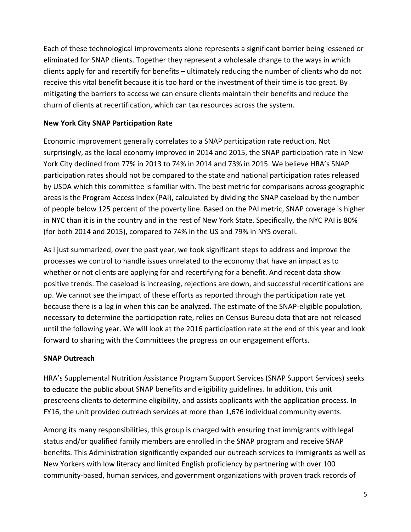Each of these technological improvements alone represents a significant barrier being lessened or eliminated for SNAP clients. Together they represent a wholesale change to the ways in which clients apply for and recertify for benefits – ultimately reducing the number of clients who do not receive this vital benefit because it is too hard or the investment of their time is too great. By mitigating the barriers to access we can ensure clients maintain their benefits and reduce the churn of clients at recertification, which can tax resources across the system.

### **New York City SNAP Participation Rate**

Economic improvement generally correlates to a SNAP participation rate reduction. Not surprisingly, as the local economy improved in 2014 and 2015, the SNAP participation rate in New York City declined from 77% in 2013 to 74% in 2014 and 73% in 2015. We believe HRA's SNAP participation rates should not be compared to the state and national participation rates released by USDA which this committee is familiar with. The best metric for comparisons across geographic areas is the Program Access Index (PAI), calculated by dividing the SNAP caseload by the number of people below 125 percent of the poverty line. Based on the PAI metric, SNAP coverage is higher in NYC than it is in the country and in the rest of New York State. Specifically, the NYC PAI is 80% (for both 2014 and 2015), compared to 74% in the US and 79% in NYS overall.

As I just summarized, over the past year, we took significant steps to address and improve the processes we control to handle issues unrelated to the economy that have an impact as to whether or not clients are applying for and recertifying for a benefit. And recent data show positive trends. The caseload is increasing, rejections are down, and successful recertifications are up. We cannot see the impact of these efforts as reported through the participation rate yet because there is a lag in when this can be analyzed. The estimate of the SNAP‐eligible population, necessary to determine the participation rate, relies on Census Bureau data that are not released until the following year. We will look at the 2016 participation rate at the end of this year and look forward to sharing with the Committees the progress on our engagement efforts.

### **SNAP Outreach**

HRA's Supplemental Nutrition Assistance Program Support Services (SNAP Support Services) seeks to educate the public about SNAP benefits and eligibility guidelines. In addition, this unit prescreens clients to determine eligibility, and assists applicants with the application process. In FY16, the unit provided outreach services at more than 1,676 individual community events.

Among its many responsibilities, this group is charged with ensuring that immigrants with legal status and/or qualified family members are enrolled in the SNAP program and receive SNAP benefits. This Administration significantly expanded our outreach services to immigrants as well as New Yorkers with low literacy and limited English proficiency by partnering with over 100 community‐based, human services, and government organizations with proven track records of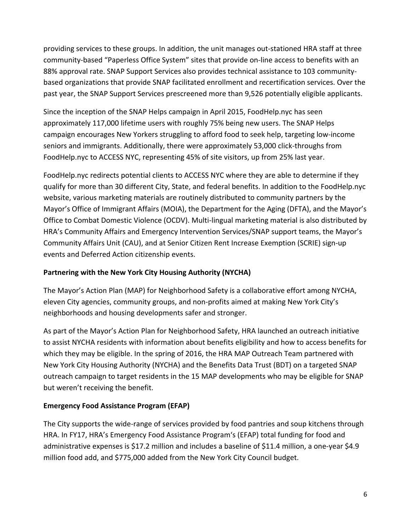providing services to these groups. In addition, the unit manages out‐stationed HRA staff at three community‐based "Paperless Office System" sites that provide on‐line access to benefits with an 88% approval rate. SNAP Support Services also provides technical assistance to 103 communitybased organizations that provide SNAP facilitated enrollment and recertification services. Over the past year, the SNAP Support Services prescreened more than 9,526 potentially eligible applicants.

Since the inception of the SNAP Helps campaign in April 2015, FoodHelp.nyc has seen approximately 117,000 lifetime users with roughly 75% being new users. The SNAP Helps campaign encourages New Yorkers struggling to afford food to seek help, targeting low‐income seniors and immigrants. Additionally, there were approximately 53,000 click-throughs from FoodHelp.nyc to ACCESS NYC, representing 45% of site visitors, up from 25% last year.

FoodHelp.nyc redirects potential clients to ACCESS NYC where they are able to determine if they qualify for more than 30 different City, State, and federal benefits. In addition to the FoodHelp.nyc website, various marketing materials are routinely distributed to community partners by the Mayor's Office of Immigrant Affairs (MOIA), the Department for the Aging (DFTA), and the Mayor's Office to Combat Domestic Violence (OCDV). Multi‐lingual marketing material is also distributed by HRA's Community Affairs and Emergency Intervention Services/SNAP support teams, the Mayor's Community Affairs Unit (CAU), and at Senior Citizen Rent Increase Exemption (SCRIE) sign‐up events and Deferred Action citizenship events.

### **Partnering with the New York City Housing Authority (NYCHA)**

The Mayor's Action Plan (MAP) for Neighborhood Safety is a collaborative effort among NYCHA, eleven City agencies, community groups, and non‐profits aimed at making New York City's neighborhoods and housing developments safer and stronger.

As part of the Mayor's Action Plan for Neighborhood Safety, HRA launched an outreach initiative to assist NYCHA residents with information about benefits eligibility and how to access benefits for which they may be eligible. In the spring of 2016, the HRA MAP Outreach Team partnered with New York City Housing Authority (NYCHA) and the Benefits Data Trust (BDT) on a targeted SNAP outreach campaign to target residents in the 15 MAP developments who may be eligible for SNAP but weren't receiving the benefit.

# **Emergency Food Assistance Program (EFAP)**

The City supports the wide‐range of services provided by food pantries and soup kitchens through HRA. In FY17, HRA's Emergency Food Assistance Program's (EFAP) total funding for food and administrative expenses is \$17.2 million and includes a baseline of \$11.4 million, a one‐year \$4.9 million food add, and \$775,000 added from the New York City Council budget.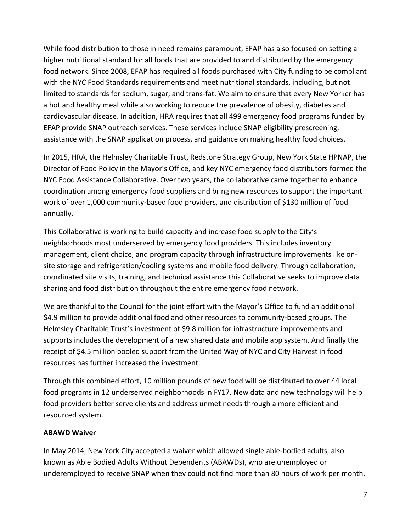While food distribution to those in need remains paramount, EFAP has also focused on setting a higher nutritional standard for all foods that are provided to and distributed by the emergency food network. Since 2008, EFAP has required all foods purchased with City funding to be compliant with the NYC Food Standards requirements and meet nutritional standards, including, but not limited to standards for sodium, sugar, and trans‐fat. We aim to ensure that every New Yorker has a hot and healthy meal while also working to reduce the prevalence of obesity, diabetes and cardiovascular disease. In addition, HRA requires that all 499 emergency food programs funded by EFAP provide SNAP outreach services. These services include SNAP eligibility prescreening, assistance with the SNAP application process, and guidance on making healthy food choices.

In 2015, HRA, the Helmsley Charitable Trust, Redstone Strategy Group, New York State HPNAP, the Director of Food Policy in the Mayor's Office, and key NYC emergency food distributors formed the NYC Food Assistance Collaborative. Over two years, the collaborative came together to enhance coordination among emergency food suppliers and bring new resources to support the important work of over 1,000 community‐based food providers, and distribution of \$130 million of food annually.

This Collaborative is working to build capacity and increase food supply to the City's neighborhoods most underserved by emergency food providers. This includes inventory management, client choice, and program capacity through infrastructure improvements like on‐ site storage and refrigeration/cooling systems and mobile food delivery. Through collaboration, coordinated site visits, training, and technical assistance this Collaborative seeks to improve data sharing and food distribution throughout the entire emergency food network.

We are thankful to the Council for the joint effort with the Mayor's Office to fund an additional \$4.9 million to provide additional food and other resources to community-based groups. The Helmsley Charitable Trust's investment of \$9.8 million for infrastructure improvements and supports includes the development of a new shared data and mobile app system. And finally the receipt of \$4.5 million pooled support from the United Way of NYC and City Harvest in food resources has further increased the investment.

Through this combined effort, 10 million pounds of new food will be distributed to over 44 local food programs in 12 underserved neighborhoods in FY17. New data and new technology will help food providers better serve clients and address unmet needs through a more efficient and resourced system.

### **ABAWD Waiver**

In May 2014, New York City accepted a waiver which allowed single able‐bodied adults, also known as Able Bodied Adults Without Dependents (ABAWDs), who are unemployed or underemployed to receive SNAP when they could not find more than 80 hours of work per month.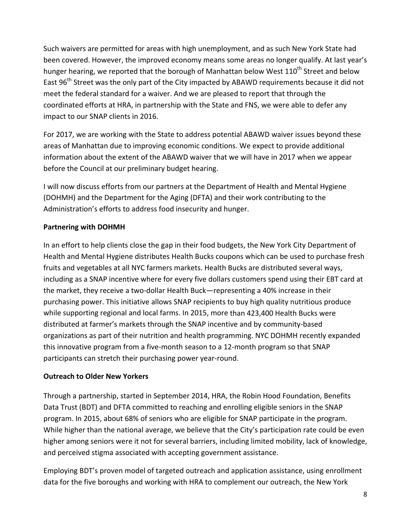Such waivers are permitted for areas with high unemployment, and as such New York State had been covered. However, the improved economy means some areas no longer qualify. At last year's hunger hearing, we reported that the borough of Manhattan below West 110<sup>th</sup> Street and below East 96<sup>th</sup> Street was the only part of the City impacted by ABAWD requirements because it did not meet the federal standard for a waiver. And we are pleased to report that through the coordinated efforts at HRA, in partnership with the State and FNS, we were able to defer any impact to our SNAP clients in 2016.

For 2017, we are working with the State to address potential ABAWD waiver issues beyond these areas of Manhattan due to improving economic conditions. We expect to provide additional information about the extent of the ABAWD waiver that we will have in 2017 when we appear before the Council at our preliminary budget hearing.

I will now discuss efforts from our partners at the Department of Health and Mental Hygiene (DOHMH) and the Department for the Aging (DFTA) and their work contributing to the Administration's efforts to address food insecurity and hunger.

### **Partnering with DOHMH**

In an effort to help clients close the gap in their food budgets, the New York City Department of Health and Mental Hygiene distributes Health Bucks coupons which can be used to purchase fresh fruits and vegetables at all NYC farmers markets. Health Bucks are distributed several ways, including as a SNAP incentive where for every five dollars customers spend using their EBT card at the market, they receive a two‐dollar Health Buck—representing a 40% increase in their purchasing power. This initiative allows SNAP recipients to buy high quality nutritious produce while supporting regional and local farms. In 2015, more than 423,400 Health Bucks were distributed at farmer's markets through the SNAP incentive and by community‐based organizations as part of their nutrition and health programming. NYC DOHMH recently expanded this innovative program from a five‐month season to a 12‐month program so that SNAP participants can stretch their purchasing power year‐round.

### **Outreach to Older New Yorkers**

Through a partnership, started in September 2014, HRA, the Robin Hood Foundation, Benefits Data Trust (BDT) and DFTA committed to reaching and enrolling eligible seniors in the SNAP program. In 2015, about 68% of seniors who are eligible for SNAP participate in the program. While higher than the national average, we believe that the City's participation rate could be even higher among seniors were it not for several barriers, including limited mobility, lack of knowledge, and perceived stigma associated with accepting government assistance.

Employing BDT's proven model of targeted outreach and application assistance, using enrollment data for the five boroughs and working with HRA to complement our outreach, the New York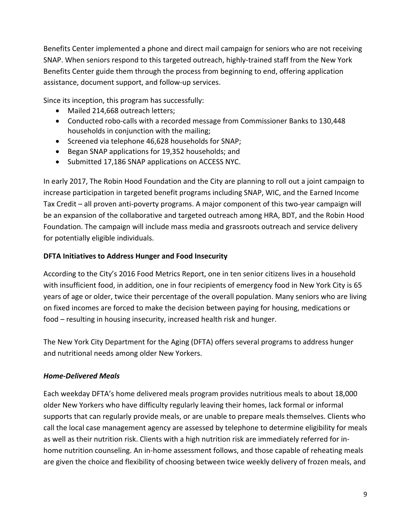Benefits Center implemented a phone and direct mail campaign for seniors who are not receiving SNAP. When seniors respond to this targeted outreach, highly‐trained staff from the New York Benefits Center guide them through the process from beginning to end, offering application assistance, document support, and follow‐up services.

Since its inception, this program has successfully:

- Mailed 214,668 outreach letters;
- Conducted robo‐calls with a recorded message from Commissioner Banks to 130,448 households in conjunction with the mailing;
- Screened via telephone 46,628 households for SNAP;
- Began SNAP applications for 19,352 households; and
- Submitted 17,186 SNAP applications on ACCESS NYC.

In early 2017, The Robin Hood Foundation and the City are planning to roll out a joint campaign to increase participation in targeted benefit programs including SNAP, WIC, and the Earned Income Tax Credit – all proven anti‐poverty programs. A major component of this two‐year campaign will be an expansion of the collaborative and targeted outreach among HRA, BDT, and the Robin Hood Foundation. The campaign will include mass media and grassroots outreach and service delivery for potentially eligible individuals.

# **DFTA Initiatives to Address Hunger and Food Insecurity**

According to the City's 2016 Food Metrics Report, one in ten senior citizens lives in a household with insufficient food, in addition, one in four recipients of emergency food in New York City is 65 years of age or older, twice their percentage of the overall population. Many seniors who are living on fixed incomes are forced to make the decision between paying for housing, medications or food – resulting in housing insecurity, increased health risk and hunger.

The New York City Department for the Aging (DFTA) offers several programs to address hunger and nutritional needs among older New Yorkers.

### *Home‐Delivered Meals*

Each weekday DFTA's home delivered meals program provides nutritious meals to about 18,000 older New Yorkers who have difficulty regularly leaving their homes, lack formal or informal supports that can regularly provide meals, or are unable to prepare meals themselves. Clients who call the local case management agency are assessed by telephone to determine eligibility for meals as well as their nutrition risk. Clients with a high nutrition risk are immediately referred for in‐ home nutrition counseling. An in-home assessment follows, and those capable of reheating meals are given the choice and flexibility of choosing between twice weekly delivery of frozen meals, and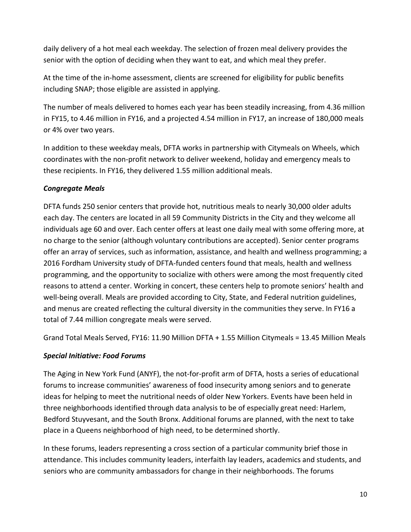daily delivery of a hot meal each weekday. The selection of frozen meal delivery provides the senior with the option of deciding when they want to eat, and which meal they prefer.

At the time of the in‐home assessment, clients are screened for eligibility for public benefits including SNAP; those eligible are assisted in applying.

The number of meals delivered to homes each year has been steadily increasing, from 4.36 million in FY15, to 4.46 million in FY16, and a projected 4.54 million in FY17, an increase of 180,000 meals or 4% over two years.

In addition to these weekday meals, DFTA works in partnership with Citymeals on Wheels, which coordinates with the non‐profit network to deliver weekend, holiday and emergency meals to these recipients. In FY16, they delivered 1.55 million additional meals.

# *Congregate Meals*

DFTA funds 250 senior centers that provide hot, nutritious meals to nearly 30,000 older adults each day. The centers are located in all 59 Community Districts in the City and they welcome all individuals age 60 and over. Each center offers at least one daily meal with some offering more, at no charge to the senior (although voluntary contributions are accepted). Senior center programs offer an array of services, such as information, assistance, and health and wellness programming; a 2016 Fordham University study of DFTA‐funded centers found that meals, health and wellness programming, and the opportunity to socialize with others were among the most frequently cited reasons to attend a center. Working in concert, these centers help to promote seniors' health and well-being overall. Meals are provided according to City, State, and Federal nutrition guidelines, and menus are created reflecting the cultural diversity in the communities they serve. In FY16 a total of 7.44 million congregate meals were served.

Grand Total Meals Served, FY16: 11.90 Million DFTA + 1.55 Million Citymeals = 13.45 Million Meals

### *Special Initiative: Food Forums*

The Aging in New York Fund (ANYF), the not‐for‐profit arm of DFTA, hosts a series of educational forums to increase communities' awareness of food insecurity among seniors and to generate ideas for helping to meet the nutritional needs of older New Yorkers. Events have been held in three neighborhoods identified through data analysis to be of especially great need: Harlem, Bedford Stuyvesant, and the South Bronx. Additional forums are planned, with the next to take place in a Queens neighborhood of high need, to be determined shortly.

In these forums, leaders representing a cross section of a particular community brief those in attendance. This includes community leaders, interfaith lay leaders, academics and students, and seniors who are community ambassadors for change in their neighborhoods. The forums